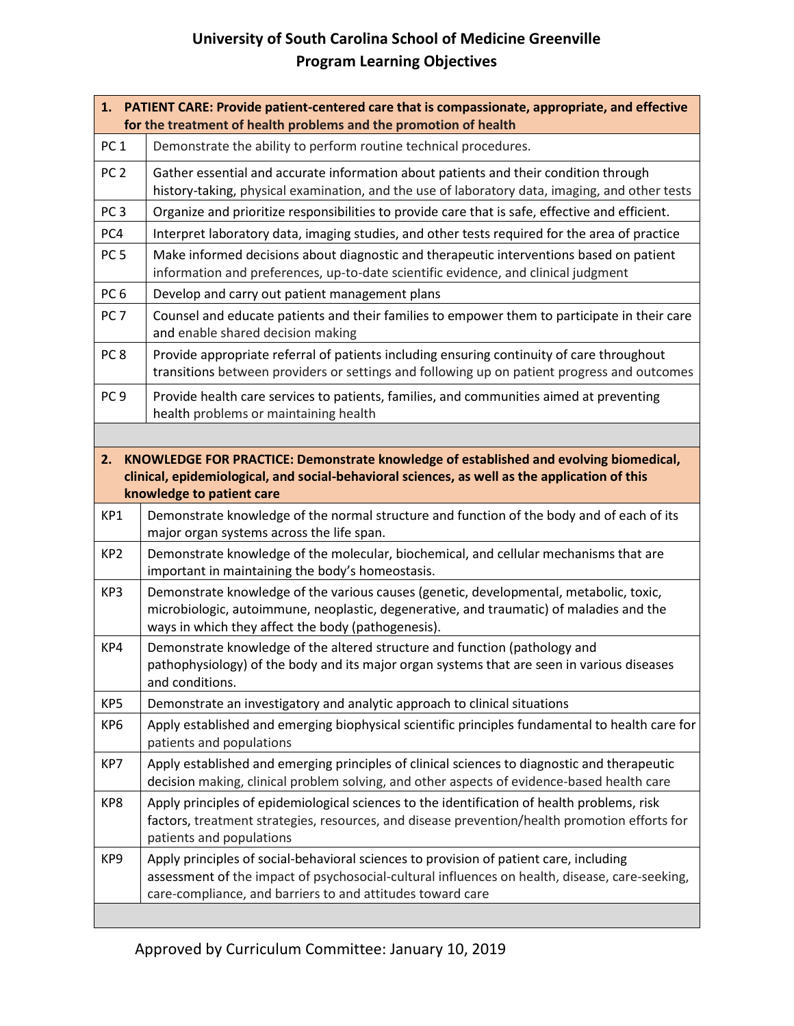## **University of South Carolina School of Medicine Greenville Program Learning Objectives**

| 1. PATIENT CARE: Provide patient-centered care that is compassionate, appropriate, and effective<br>for the treatment of health problems and the promotion of health                                                      |                                                                                                                                                                                                                                                        |  |
|---------------------------------------------------------------------------------------------------------------------------------------------------------------------------------------------------------------------------|--------------------------------------------------------------------------------------------------------------------------------------------------------------------------------------------------------------------------------------------------------|--|
| PC <sub>1</sub>                                                                                                                                                                                                           | Demonstrate the ability to perform routine technical procedures.                                                                                                                                                                                       |  |
| PC <sub>2</sub>                                                                                                                                                                                                           | Gather essential and accurate information about patients and their condition through<br>history-taking, physical examination, and the use of laboratory data, imaging, and other tests                                                                 |  |
| PC <sub>3</sub>                                                                                                                                                                                                           | Organize and prioritize responsibilities to provide care that is safe, effective and efficient.                                                                                                                                                        |  |
| PC4                                                                                                                                                                                                                       | Interpret laboratory data, imaging studies, and other tests required for the area of practice                                                                                                                                                          |  |
| PC <sub>5</sub>                                                                                                                                                                                                           | Make informed decisions about diagnostic and therapeutic interventions based on patient<br>information and preferences, up-to-date scientific evidence, and clinical judgment                                                                          |  |
| PC <sub>6</sub>                                                                                                                                                                                                           | Develop and carry out patient management plans                                                                                                                                                                                                         |  |
| PC <sub>7</sub>                                                                                                                                                                                                           | Counsel and educate patients and their families to empower them to participate in their care<br>and enable shared decision making                                                                                                                      |  |
| PC <sub>8</sub>                                                                                                                                                                                                           | Provide appropriate referral of patients including ensuring continuity of care throughout<br>transitions between providers or settings and following up on patient progress and outcomes                                                               |  |
| PC <sub>9</sub>                                                                                                                                                                                                           | Provide health care services to patients, families, and communities aimed at preventing<br>health problems or maintaining health                                                                                                                       |  |
|                                                                                                                                                                                                                           |                                                                                                                                                                                                                                                        |  |
| KNOWLEDGE FOR PRACTICE: Demonstrate knowledge of established and evolving biomedical,<br>2.<br>clinical, epidemiological, and social-behavioral sciences, as well as the application of this<br>knowledge to patient care |                                                                                                                                                                                                                                                        |  |
| KP1                                                                                                                                                                                                                       | Demonstrate knowledge of the normal structure and function of the body and of each of its<br>major organ systems across the life span.                                                                                                                 |  |
| KP <sub>2</sub>                                                                                                                                                                                                           | Demonstrate knowledge of the molecular, biochemical, and cellular mechanisms that are<br>important in maintaining the body's homeostasis.                                                                                                              |  |
| KP3                                                                                                                                                                                                                       | Demonstrate knowledge of the various causes (genetic, developmental, metabolic, toxic,<br>microbiologic, autoimmune, neoplastic, degenerative, and traumatic) of maladies and the<br>ways in which they affect the body (pathogenesis).                |  |
| KP4                                                                                                                                                                                                                       | Demonstrate knowledge of the altered structure and function (pathology and<br>pathophysiology) of the body and its major organ systems that are seen in various diseases<br>and conditions.                                                            |  |
| KP5                                                                                                                                                                                                                       | Demonstrate an investigatory and analytic approach to clinical situations                                                                                                                                                                              |  |
| KP6                                                                                                                                                                                                                       | Apply established and emerging biophysical scientific principles fundamental to health care for<br>patients and populations                                                                                                                            |  |
| KP7                                                                                                                                                                                                                       | Apply established and emerging principles of clinical sciences to diagnostic and therapeutic<br>decision making, clinical problem solving, and other aspects of evidence-based health care                                                             |  |
| KP8                                                                                                                                                                                                                       | Apply principles of epidemiological sciences to the identification of health problems, risk<br>factors, treatment strategies, resources, and disease prevention/health promotion efforts for<br>patients and populations                               |  |
| KP9                                                                                                                                                                                                                       | Apply principles of social-behavioral sciences to provision of patient care, including<br>assessment of the impact of psychosocial-cultural influences on health, disease, care-seeking,<br>care-compliance, and barriers to and attitudes toward care |  |
|                                                                                                                                                                                                                           |                                                                                                                                                                                                                                                        |  |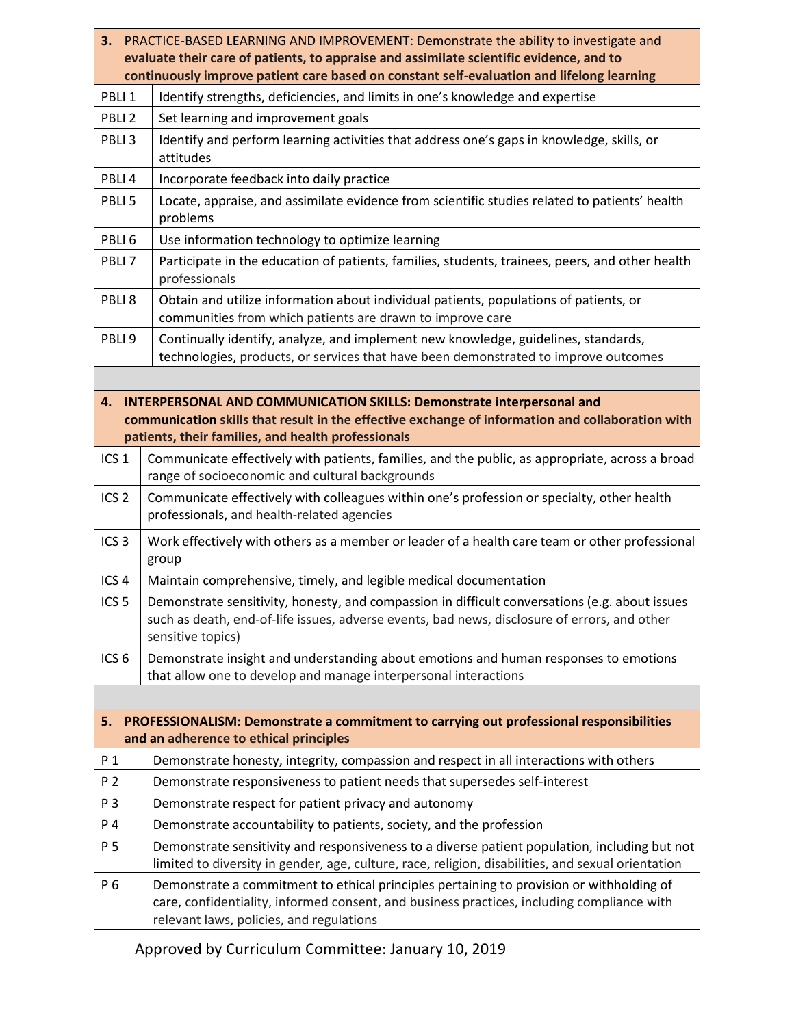| 3. PRACTICE-BASED LEARNING AND IMPROVEMENT: Demonstrate the ability to investigate and<br>evaluate their care of patients, to appraise and assimilate scientific evidence, and to                                                            |                                                                                                                                                                                                                                    |  |
|----------------------------------------------------------------------------------------------------------------------------------------------------------------------------------------------------------------------------------------------|------------------------------------------------------------------------------------------------------------------------------------------------------------------------------------------------------------------------------------|--|
| continuously improve patient care based on constant self-evaluation and lifelong learning                                                                                                                                                    |                                                                                                                                                                                                                                    |  |
| PBLI <sub>1</sub>                                                                                                                                                                                                                            | Identify strengths, deficiencies, and limits in one's knowledge and expertise                                                                                                                                                      |  |
| PBLI <sub>2</sub>                                                                                                                                                                                                                            | Set learning and improvement goals                                                                                                                                                                                                 |  |
| PBLI <sub>3</sub>                                                                                                                                                                                                                            | Identify and perform learning activities that address one's gaps in knowledge, skills, or<br>attitudes                                                                                                                             |  |
| PBLI4                                                                                                                                                                                                                                        | Incorporate feedback into daily practice                                                                                                                                                                                           |  |
| PBLI <sub>5</sub>                                                                                                                                                                                                                            | Locate, appraise, and assimilate evidence from scientific studies related to patients' health<br>problems                                                                                                                          |  |
| PBLI <sub>6</sub>                                                                                                                                                                                                                            | Use information technology to optimize learning                                                                                                                                                                                    |  |
| PBLI <sub>7</sub>                                                                                                                                                                                                                            | Participate in the education of patients, families, students, trainees, peers, and other health<br>professionals                                                                                                                   |  |
| PBLI <sub>8</sub>                                                                                                                                                                                                                            | Obtain and utilize information about individual patients, populations of patients, or<br>communities from which patients are drawn to improve care                                                                                 |  |
| PBLI <sub>9</sub>                                                                                                                                                                                                                            | Continually identify, analyze, and implement new knowledge, guidelines, standards,<br>technologies, products, or services that have been demonstrated to improve outcomes                                                          |  |
|                                                                                                                                                                                                                                              |                                                                                                                                                                                                                                    |  |
| <b>INTERPERSONAL AND COMMUNICATION SKILLS: Demonstrate interpersonal and</b><br>4.<br>communication skills that result in the effective exchange of information and collaboration with<br>patients, their families, and health professionals |                                                                                                                                                                                                                                    |  |
| ICS <sub>1</sub>                                                                                                                                                                                                                             | Communicate effectively with patients, families, and the public, as appropriate, across a broad<br>range of socioeconomic and cultural backgrounds                                                                                 |  |
| ICS <sub>2</sub>                                                                                                                                                                                                                             | Communicate effectively with colleagues within one's profession or specialty, other health<br>professionals, and health-related agencies                                                                                           |  |
| ICS <sub>3</sub>                                                                                                                                                                                                                             | Work effectively with others as a member or leader of a health care team or other professional<br>group                                                                                                                            |  |
| ICS <sub>4</sub>                                                                                                                                                                                                                             | Maintain comprehensive, timely, and legible medical documentation                                                                                                                                                                  |  |
| ICS <sub>5</sub>                                                                                                                                                                                                                             | Demonstrate sensitivity, honesty, and compassion in difficult conversations (e.g. about issues<br>such as death, end-of-life issues, adverse events, bad news, disclosure of errors, and other<br>sensitive topics)                |  |
| ICS <sub>6</sub>                                                                                                                                                                                                                             | Demonstrate insight and understanding about emotions and human responses to emotions<br>that allow one to develop and manage interpersonal interactions                                                                            |  |
|                                                                                                                                                                                                                                              |                                                                                                                                                                                                                                    |  |
| 5.                                                                                                                                                                                                                                           | PROFESSIONALISM: Demonstrate a commitment to carrying out professional responsibilities                                                                                                                                            |  |
|                                                                                                                                                                                                                                              | and an adherence to ethical principles                                                                                                                                                                                             |  |
| P <sub>1</sub>                                                                                                                                                                                                                               | Demonstrate honesty, integrity, compassion and respect in all interactions with others                                                                                                                                             |  |
| P 2                                                                                                                                                                                                                                          | Demonstrate responsiveness to patient needs that supersedes self-interest                                                                                                                                                          |  |
| P 3                                                                                                                                                                                                                                          | Demonstrate respect for patient privacy and autonomy                                                                                                                                                                               |  |
| P 4                                                                                                                                                                                                                                          | Demonstrate accountability to patients, society, and the profession                                                                                                                                                                |  |
| P 5                                                                                                                                                                                                                                          | Demonstrate sensitivity and responsiveness to a diverse patient population, including but not<br>limited to diversity in gender, age, culture, race, religion, disabilities, and sexual orientation                                |  |
| P 6                                                                                                                                                                                                                                          | Demonstrate a commitment to ethical principles pertaining to provision or withholding of<br>care, confidentiality, informed consent, and business practices, including compliance with<br>relevant laws, policies, and regulations |  |